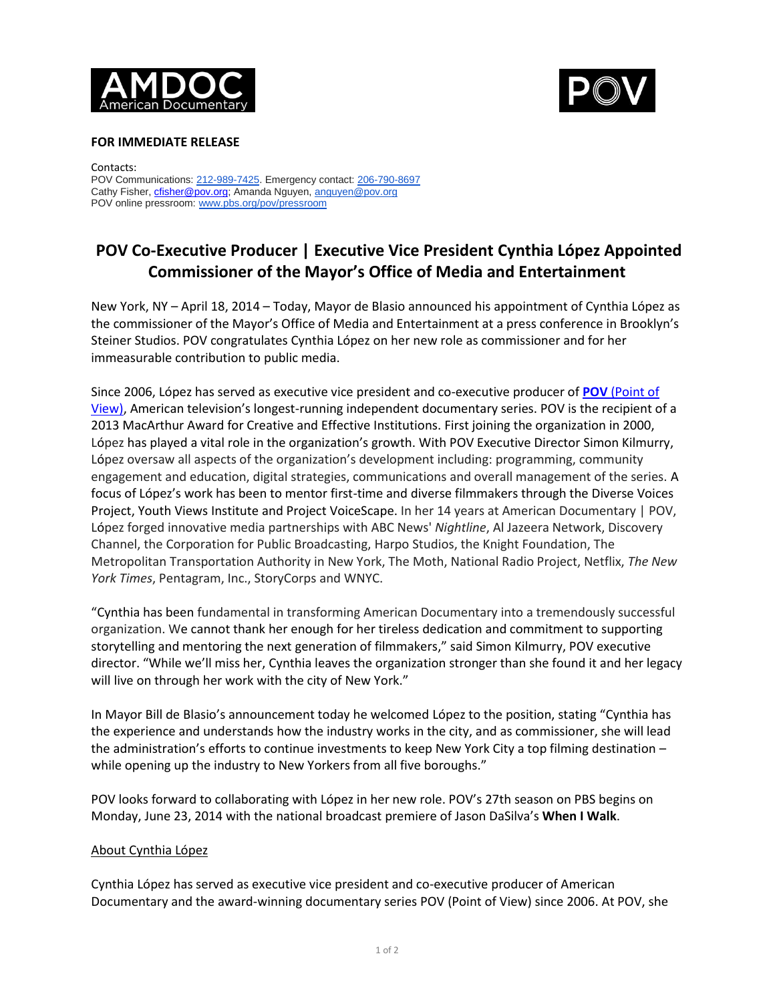



#### **FOR IMMEDIATE RELEASE**

Contacts: POV Communications: [212-989-7425.](tel:/212-989-7425) Emergency contact: [206-790-8697](tel:/206-790-8697) Cathy Fisher, *cfisher@pov.org*; Amanda Nguyen, [anguyen@pov.org](mailto:anguyen@pov.org) POV online pressroom: [www.pbs.org/pov/pressroom](http://cts.vresp.com/c/?POVAmericanDocumenta/7f892d2885/TEST/416e93986e)

# **POV Co-Executive Producer | Executive Vice President Cynthia López Appointed Commissioner of the Mayor's Office of Media and Entertainment**

New York, NY – April 18, 2014 – Today, Mayor de Blasio announced his appointment of Cynthia López as the commissioner of the Mayor's Office of Media and Entertainment at a press conference in Brooklyn's Steiner Studios. POV congratulates Cynthia López on her new role as commissioner and for her immeasurable contribution to public media.

Since 2006, López has served as executive vice president and co-executive producer of **POV** [\(Point of](http://www.pbs.org/pov/)  [View\),](http://www.pbs.org/pov/) American television's longest-running independent documentary series. POV is the recipient of a 2013 MacArthur Award for Creative and Effective Institutions. First joining the organization in 2000, López has played a vital role in the organization's growth. With POV Executive Director Simon Kilmurry, López oversaw all aspects of the organization's development including: programming, community engagement and education, digital strategies, communications and overall management of the series. A focus of López's work has been to mentor first-time and diverse filmmakers through the Diverse Voices Project, Youth Views Institute and Project VoiceScape. In her 14 years at American Documentary | POV, López forged innovative media partnerships with ABC News' *Nightline*, Al Jazeera Network, Discovery Channel, the Corporation for Public Broadcasting, Harpo Studios, the Knight Foundation, The Metropolitan Transportation Authority in New York, The Moth, National Radio Project, Netflix, *The New York Times*, Pentagram, Inc., StoryCorps and WNYC.

"Cynthia has been fundamental in transforming American Documentary into a tremendously successful organization. We cannot thank her enough for her tireless dedication and commitment to supporting storytelling and mentoring the next generation of filmmakers," said Simon Kilmurry, POV executive director. "While we'll miss her, Cynthia leaves the organization stronger than she found it and her legacy will live on through her work with the city of New York."

In Mayor Bill de Blasio's announcement today he welcomed López to the position, stating "Cynthia has the experience and understands how the industry works in the city, and as commissioner, she will lead the administration's efforts to continue investments to keep New York City a top filming destination – while opening up the industry to New Yorkers from all five boroughs."

POV looks forward to collaborating with López in her new role. POV's 27th season on PBS begins on Monday, June 23, 2014 with the national broadcast premiere of Jason DaSilva's **When I Walk**.

#### About Cynthia López

Cynthia López has served as executive vice president and co-executive producer of American Documentary and the award-winning documentary series POV (Point of View) since 2006. At POV, she